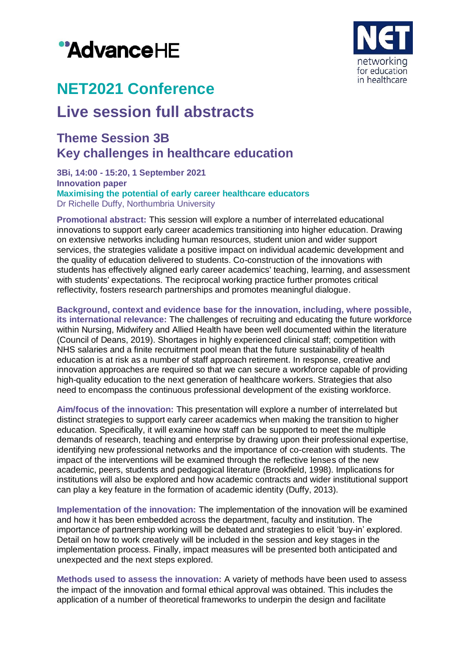# "AdvanceHE



# **NET2021 Conference**

# **Live session full abstracts**

### **Theme Session 3B Key challenges in healthcare education**

**3Bi, 14:00 - 15:20, 1 September 2021 Innovation paper Maximising the potential of early career healthcare educators** Dr Richelle Duffy, Northumbria University

**Promotional abstract:** This session will explore a number of interrelated educational innovations to support early career academics transitioning into higher education. Drawing on extensive networks including human resources, student union and wider support services, the strategies validate a positive impact on individual academic development and the quality of education delivered to students. Co-construction of the innovations with students has effectively aligned early career academics' teaching, learning, and assessment with students' expectations. The reciprocal working practice further promotes critical reflectivity, fosters research partnerships and promotes meaningful dialogue.

**Background, context and evidence base for the innovation, including, where possible, its international relevance:** The challenges of recruiting and educating the future workforce within Nursing, Midwifery and Allied Health have been well documented within the literature (Council of Deans, 2019). Shortages in highly experienced clinical staff; competition with NHS salaries and a finite recruitment pool mean that the future sustainability of health education is at risk as a number of staff approach retirement. In response, creative and innovation approaches are required so that we can secure a workforce capable of providing high-quality education to the next generation of healthcare workers. Strategies that also need to encompass the continuous professional development of the existing workforce.

**Aim/focus of the innovation:** This presentation will explore a number of interrelated but distinct strategies to support early career academics when making the transition to higher education. Specifically, it will examine how staff can be supported to meet the multiple demands of research, teaching and enterprise by drawing upon their professional expertise, identifying new professional networks and the importance of co-creation with students. The impact of the interventions will be examined through the reflective lenses of the new academic, peers, students and pedagogical literature (Brookfield, 1998). Implications for institutions will also be explored and how academic contracts and wider institutional support can play a key feature in the formation of academic identity (Duffy, 2013).

**Implementation of the innovation:** The implementation of the innovation will be examined and how it has been embedded across the department, faculty and institution. The importance of partnership working will be debated and strategies to elicit 'buy-in' explored. Detail on how to work creatively will be included in the session and key stages in the implementation process. Finally, impact measures will be presented both anticipated and unexpected and the next steps explored.

**Methods used to assess the innovation:** A variety of methods have been used to assess the impact of the innovation and formal ethical approval was obtained. This includes the application of a number of theoretical frameworks to underpin the design and facilitate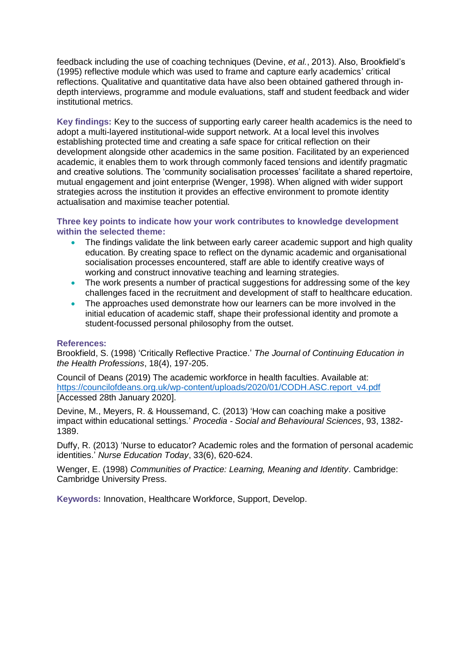feedback including the use of coaching techniques (Devine, *et al.*, 2013). Also, Brookfield's (1995) reflective module which was used to frame and capture early academics' critical reflections. Qualitative and quantitative data have also been obtained gathered through indepth interviews, programme and module evaluations, staff and student feedback and wider institutional metrics.

**Key findings:** Key to the success of supporting early career health academics is the need to adopt a multi-layered institutional-wide support network. At a local level this involves establishing protected time and creating a safe space for critical reflection on their development alongside other academics in the same position. Facilitated by an experienced academic, it enables them to work through commonly faced tensions and identify pragmatic and creative solutions. The 'community socialisation processes' facilitate a shared repertoire, mutual engagement and joint enterprise (Wenger, 1998). When aligned with wider support strategies across the institution it provides an effective environment to promote identity actualisation and maximise teacher potential.

#### **Three key points to indicate how your work contributes to knowledge development within the selected theme:**

- The findings validate the link between early career academic support and high quality education. By creating space to reflect on the dynamic academic and organisational socialisation processes encountered, staff are able to identify creative ways of working and construct innovative teaching and learning strategies.
- The work presents a number of practical suggestions for addressing some of the key challenges faced in the recruitment and development of staff to healthcare education.
- The approaches used demonstrate how our learners can be more involved in the initial education of academic staff, shape their professional identity and promote a student-focussed personal philosophy from the outset.

#### **References:**

Brookfield, S. (1998) 'Critically Reflective Practice.' *The Journal of Continuing Education in the Health Professions*, 18(4), 197-205.

Council of Deans (2019) The academic workforce in health faculties. Available at: [https://councilofdeans.org.uk/wp-content/uploads/2020/01/CODH.ASC.report\\_v4.pdf](https://councilofdeans.org.uk/wp-content/uploads/2020/01/CODH.ASC.report_v4.pdf) [Accessed 28th January 2020].

Devine, M., Meyers, R. & Houssemand, C. (2013) 'How can coaching make a positive impact within educational settings.' *Procedia - Social and Behavioural Sciences*, 93, 1382- 1389.

Duffy, R. (2013) 'Nurse to educator? Academic roles and the formation of personal academic identities.' *Nurse Education Today*, 33(6), 620-624.

Wenger, E. (1998) *Communities of Practice: Learning, Meaning and Identity*. Cambridge: Cambridge University Press.

**Keywords:** Innovation, Healthcare Workforce, Support, Develop.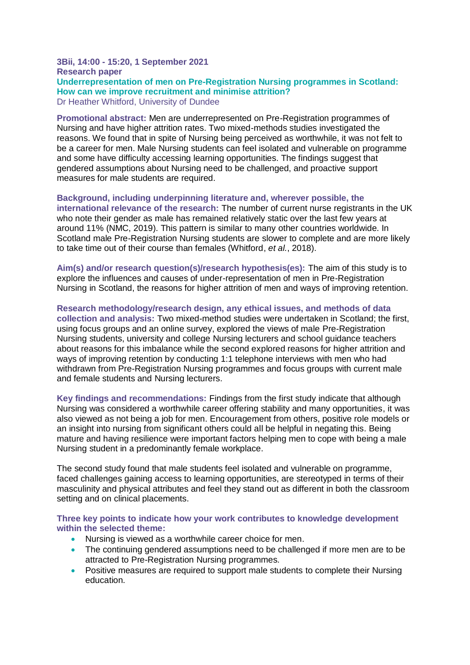#### **3Bii, 14:00 - 15:20, 1 September 2021 Research paper Underrepresentation of men on Pre-Registration Nursing programmes in Scotland: How can we improve recruitment and minimise attrition?** Dr Heather Whitford, University of Dundee

**Promotional abstract:** Men are underrepresented on Pre-Registration programmes of Nursing and have higher attrition rates. Two mixed-methods studies investigated the reasons. We found that in spite of Nursing being perceived as worthwhile, it was not felt to be a career for men. Male Nursing students can feel isolated and vulnerable on programme and some have difficulty accessing learning opportunities. The findings suggest that gendered assumptions about Nursing need to be challenged, and proactive support measures for male students are required.

**Background, including underpinning literature and, wherever possible, the international relevance of the research:** The number of current nurse registrants in the UK who note their gender as male has remained relatively static over the last few years at around 11% (NMC, 2019). This pattern is similar to many other countries worldwide. In Scotland male Pre-Registration Nursing students are slower to complete and are more likely to take time out of their course than females (Whitford, *et al.*, 2018).

**Aim(s) and/or research question(s)/research hypothesis(es):** The aim of this study is to explore the influences and causes of under-representation of men in Pre-Registration Nursing in Scotland, the reasons for higher attrition of men and ways of improving retention.

**Research methodology/research design, any ethical issues, and methods of data collection and analysis:** Two mixed-method studies were undertaken in Scotland; the first, using focus groups and an online survey, explored the views of male Pre-Registration Nursing students, university and college Nursing lecturers and school guidance teachers about reasons for this imbalance while the second explored reasons for higher attrition and ways of improving retention by conducting 1:1 telephone interviews with men who had withdrawn from Pre-Registration Nursing programmes and focus groups with current male and female students and Nursing lecturers.

**Key findings and recommendations:** Findings from the first study indicate that although Nursing was considered a worthwhile career offering stability and many opportunities, it was also viewed as not being a job for men. Encouragement from others, positive role models or an insight into nursing from significant others could all be helpful in negating this. Being mature and having resilience were important factors helping men to cope with being a male Nursing student in a predominantly female workplace.

The second study found that male students feel isolated and vulnerable on programme, faced challenges gaining access to learning opportunities, are stereotyped in terms of their masculinity and physical attributes and feel they stand out as different in both the classroom setting and on clinical placements.

**Three key points to indicate how your work contributes to knowledge development within the selected theme:**

- Nursing is viewed as a worthwhile career choice for men.
- The continuing gendered assumptions need to be challenged if more men are to be attracted to Pre-Registration Nursing programmes.
- Positive measures are required to support male students to complete their Nursing education.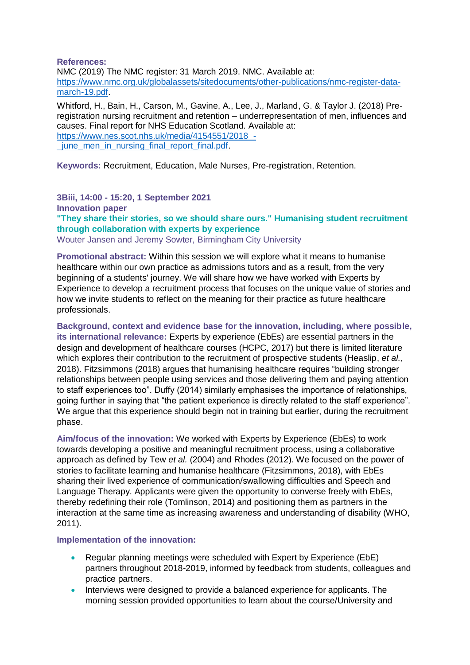**References:**

NMC (2019) The NMC register: 31 March 2019. NMC. Available at: [https://www.nmc.org.uk/globalassets/sitedocuments/other-publications/nmc-register-data](https://www.nmc.org.uk/globalassets/sitedocuments/other-publications/nmc-register-data-march-19.pdf)[march-19.pdf.](https://www.nmc.org.uk/globalassets/sitedocuments/other-publications/nmc-register-data-march-19.pdf)

Whitford, H., Bain, H., Carson, M., Gavine, A., Lee, J., Marland, G. & Taylor J. (2018) Preregistration nursing recruitment and retention – underrepresentation of men, influences and causes. Final report for NHS Education Scotland. Available at: [https://www.nes.scot.nhs.uk/media/4154551/2018\\_](https://www.nes.scot.nhs.uk/media/4154551/2018_-_june_men_in_nursing_final_report_final.pdf) iune men in nursing final report final.pdf.

**Keywords:** Recruitment, Education, Male Nurses, Pre-registration, Retention.

**3Biii, 14:00 - 15:20, 1 September 2021 Innovation paper**

**"They share their stories, so we should share ours." Humanising student recruitment through collaboration with experts by experience**

Wouter Jansen and Jeremy Sowter, Birmingham City University

**Promotional abstract:** Within this session we will explore what it means to humanise healthcare within our own practice as admissions tutors and as a result, from the very beginning of a students' journey. We will share how we have worked with Experts by Experience to develop a recruitment process that focuses on the unique value of stories and how we invite students to reflect on the meaning for their practice as future healthcare professionals.

**Background, context and evidence base for the innovation, including, where possible, its international relevance:** Experts by experience (EbEs) are essential partners in the design and development of healthcare courses (HCPC, 2017) but there is limited literature which explores their contribution to the recruitment of prospective students (Heaslip, *et al.*, 2018). Fitzsimmons (2018) argues that humanising healthcare requires "building stronger relationships between people using services and those delivering them and paying attention to staff experiences too". Duffy (2014) similarly emphasises the importance of relationships, going further in saying that "the patient experience is directly related to the staff experience". We argue that this experience should begin not in training but earlier, during the recruitment phase.

**Aim/focus of the innovation:** We worked with Experts by Experience (EbEs) to work towards developing a positive and meaningful recruitment process, using a collaborative approach as defined by Tew *et al.* (2004) and Rhodes (2012). We focused on the power of stories to facilitate learning and humanise healthcare (Fitzsimmons, 2018), with EbEs sharing their lived experience of communication/swallowing difficulties and Speech and Language Therapy. Applicants were given the opportunity to converse freely with EbEs, thereby redefining their role (Tomlinson, 2014) and positioning them as partners in the interaction at the same time as increasing awareness and understanding of disability (WHO, 2011).

**Implementation of the innovation:**

- Regular planning meetings were scheduled with Expert by Experience (EbE) partners throughout 2018-2019, informed by feedback from students, colleagues and practice partners.
- Interviews were designed to provide a balanced experience for applicants. The morning session provided opportunities to learn about the course/University and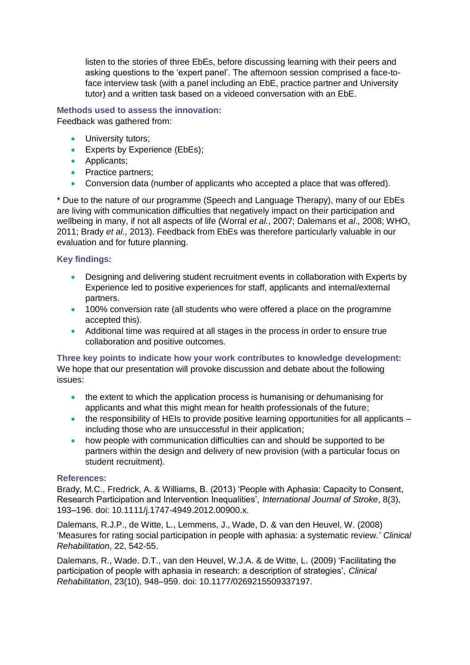listen to the stories of three EbEs, before discussing learning with their peers and asking questions to the 'expert panel'. The afternoon session comprised a face-toface interview task (with a panel including an EbE, practice partner and University tutor) and a written task based on a videoed conversation with an EbE.

## **Methods used to assess the innovation:**

Feedback was gathered from:

- University tutors;
- **Experts by Experience (EbEs);**
- Applicants;
- Practice partners;
- Conversion data (number of applicants who accepted a place that was offered).

\* Due to the nature of our programme (Speech and Language Therapy), many of our EbEs are living with communication difficulties that negatively impact on their participation and wellbeing in many, if not all aspects of life (Worral *et al.*, 2007; Dalemans et *al*., 2008; WHO, 2011; Brady *et al.,* 2013). Feedback from EbEs was therefore particularly valuable in our evaluation and for future planning.

#### **Key findings:**

- Designing and delivering student recruitment events in collaboration with Experts by Experience led to positive experiences for staff, applicants and internal/external partners.
- 100% conversion rate (all students who were offered a place on the programme accepted this).
- Additional time was required at all stages in the process in order to ensure true collaboration and positive outcomes.

#### **Three key points to indicate how your work contributes to knowledge development:** We hope that our presentation will provoke discussion and debate about the following issues:

- the extent to which the application process is humanising or dehumanising for applicants and what this might mean for health professionals of the future;
- $\bullet$  the responsibility of HEIs to provide positive learning opportunities for all applicants  $$ including those who are unsuccessful in their application;
- how people with communication difficulties can and should be supported to be partners within the design and delivery of new provision (with a particular focus on student recruitment).

#### **References:**

Brady, M.C., Fredrick, A. & Williams, B. (2013) 'People with Aphasia: Capacity to Consent, Research Participation and Intervention Inequalities', *International Journal of Stroke*, 8(3), 193–196. doi: 10.1111/j.1747-4949.2012.00900.x.

Dalemans, R.J.P., de Witte, L., Lemmens, J., Wade, D. & van den Heuvel, W. (2008) 'Measures for rating social participation in people with aphasia: a systematic review.' *Clinical Rehabilitation*, 22, 542-55.

Dalemans, R., Wade. D.T., van den Heuvel, W.J.A. & de Witte, L. (2009) 'Facilitating the participation of people with aphasia in research: a description of strategies', *Clinical Rehabilitation*, 23(10), 948–959. doi: 10.1177/0269215509337197.